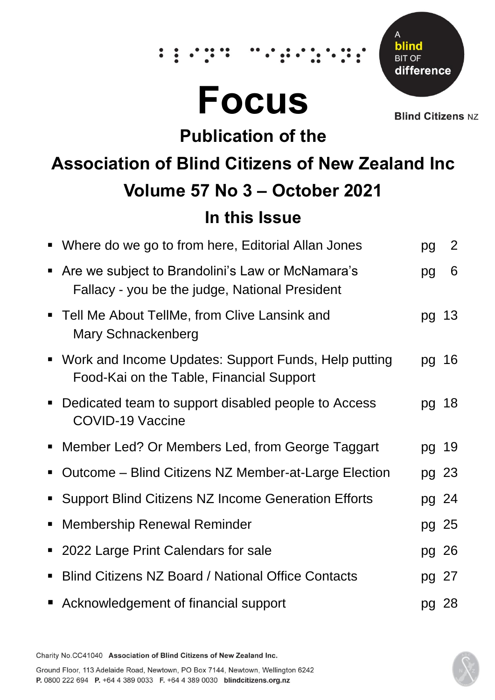# **Focus**

 $\dddot{\bullet}$ 



**Blind Citizens NZ** 

# **Publication of the**

# **Association of Blind Citizens of New Zealand Inc Volume 57 No 3 – October 2021 In this Issue**

|                             | • Where do we go to from here, Editorial Allan Jones                                               | pg    | 2     |
|-----------------------------|----------------------------------------------------------------------------------------------------|-------|-------|
| $\blacksquare$              | Are we subject to Brandolini's Law or McNamara's<br>Fallacy - you be the judge, National President | pg    | 6     |
|                             | • Tell Me About TellMe, from Clive Lansink and<br>Mary Schnackenberg                               |       | pg 13 |
|                             | • Work and Income Updates: Support Funds, Help putting<br>Food-Kai on the Table, Financial Support |       | pg 16 |
|                             | • Dedicated team to support disabled people to Access<br><b>COVID-19 Vaccine</b>                   |       | pg 18 |
| $\blacksquare$              | Member Led? Or Members Led, from George Taggart                                                    | pg 19 |       |
|                             | Outcome – Blind Citizens NZ Member-at-Large Election                                               | pg 23 |       |
|                             | • Support Blind Citizens NZ Income Generation Efforts                                              | pg 24 |       |
| $\blacksquare$              | <b>Membership Renewal Reminder</b>                                                                 | pg 25 |       |
| $\blacksquare$              | 2022 Large Print Calendars for sale                                                                | pg 26 |       |
| п                           | <b>Blind Citizens NZ Board / National Office Contacts</b>                                          | pg 27 |       |
| $\mathcal{L}_{\mathcal{A}}$ | Acknowledgement of financial support                                                               | pg 28 |       |

Charity No.CC41040 Association of Blind Citizens of New Zealand Inc.

Ground Floor, 113 Adelaide Road, Newtown, PO Box 7144, Newtown, Wellington 6242 P. 0800 222 694 P. +64 4 389 0033 F. +64 4 389 0030 blindcitizens.org.nz

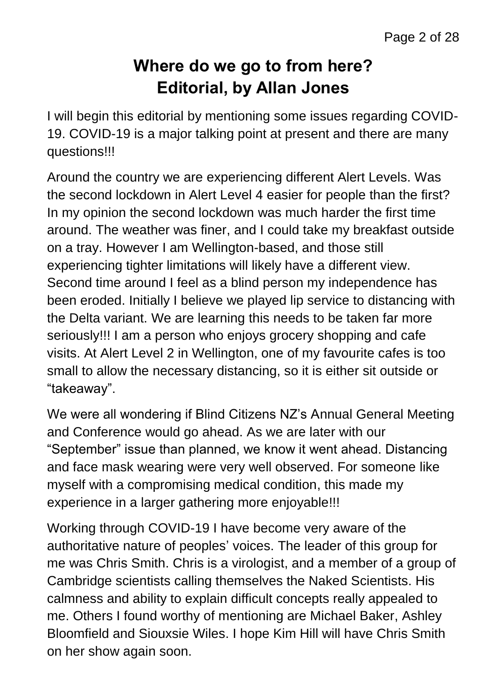#### **Where do we go to from here? Editorial, by Allan Jones**

I will begin this editorial by mentioning some issues regarding COVID-19. COVID-19 is a major talking point at present and there are many questions!!!

Around the country we are experiencing different Alert Levels. Was the second lockdown in Alert Level 4 easier for people than the first? In my opinion the second lockdown was much harder the first time around. The weather was finer, and I could take my breakfast outside on a tray. However I am Wellington-based, and those still experiencing tighter limitations will likely have a different view. Second time around I feel as a blind person my independence has been eroded. Initially I believe we played lip service to distancing with the Delta variant. We are learning this needs to be taken far more seriously!!! I am a person who enjoys grocery shopping and cafe visits. At Alert Level 2 in Wellington, one of my favourite cafes is too small to allow the necessary distancing, so it is either sit outside or "takeaway".

We were all wondering if Blind Citizens NZ's Annual General Meeting and Conference would go ahead. As we are later with our "September" issue than planned, we know it went ahead. Distancing and face mask wearing were very well observed. For someone like myself with a compromising medical condition, this made my experience in a larger gathering more enjoyable!!!

Working through COVID-19 I have become very aware of the authoritative nature of peoples' voices. The leader of this group for me was Chris Smith. Chris is a virologist, and a member of a group of Cambridge scientists calling themselves the Naked Scientists. His calmness and ability to explain difficult concepts really appealed to me. Others I found worthy of mentioning are Michael Baker, Ashley Bloomfield and Siouxsie Wiles. I hope Kim Hill will have Chris Smith on her show again soon.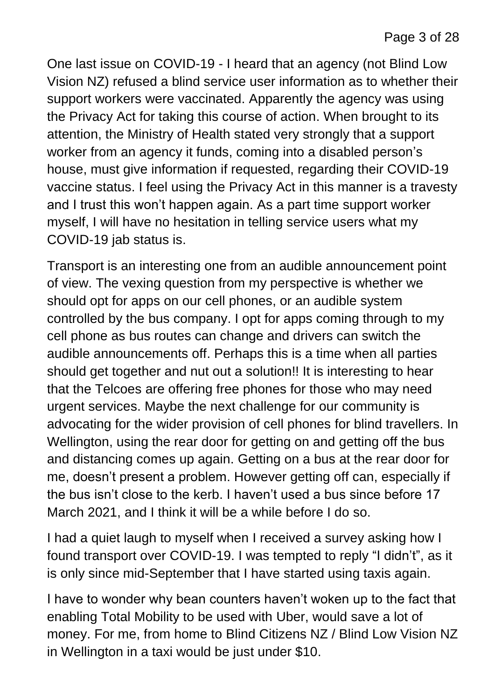One last issue on COVID-19 - I heard that an agency (not Blind Low Vision NZ) refused a blind service user information as to whether their support workers were vaccinated. Apparently the agency was using the Privacy Act for taking this course of action. When brought to its attention, the Ministry of Health stated very strongly that a support worker from an agency it funds, coming into a disabled person's house, must give information if requested, regarding their COVID-19 vaccine status. I feel using the Privacy Act in this manner is a travesty and I trust this won't happen again. As a part time support worker myself, I will have no hesitation in telling service users what my COVID-19 jab status is.

Transport is an interesting one from an audible announcement point of view. The vexing question from my perspective is whether we should opt for apps on our cell phones, or an audible system controlled by the bus company. I opt for apps coming through to my cell phone as bus routes can change and drivers can switch the audible announcements off. Perhaps this is a time when all parties should get together and nut out a solution!! It is interesting to hear that the Telcoes are offering free phones for those who may need urgent services. Maybe the next challenge for our community is advocating for the wider provision of cell phones for blind travellers. In Wellington, using the rear door for getting on and getting off the bus and distancing comes up again. Getting on a bus at the rear door for me, doesn't present a problem. However getting off can, especially if the bus isn't close to the kerb. I haven't used a bus since before 17 March 2021, and I think it will be a while before I do so.

I had a quiet laugh to myself when I received a survey asking how I found transport over COVID-19. I was tempted to reply "I didn't", as it is only since mid-September that I have started using taxis again.

I have to wonder why bean counters haven't woken up to the fact that enabling Total Mobility to be used with Uber, would save a lot of money. For me, from home to Blind Citizens NZ / Blind Low Vision NZ in Wellington in a taxi would be just under \$10.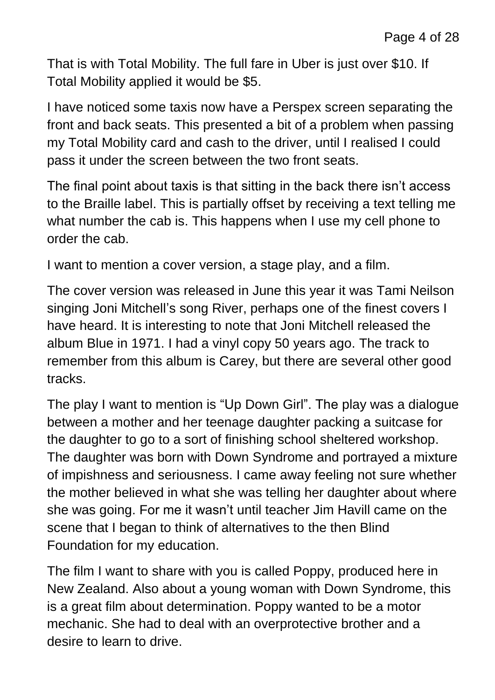That is with Total Mobility. The full fare in Uber is just over \$10. If Total Mobility applied it would be \$5.

I have noticed some taxis now have a Perspex screen separating the front and back seats. This presented a bit of a problem when passing my Total Mobility card and cash to the driver, until I realised I could pass it under the screen between the two front seats.

The final point about taxis is that sitting in the back there isn't access to the Braille label. This is partially offset by receiving a text telling me what number the cab is. This happens when I use my cell phone to order the cab.

I want to mention a cover version, a stage play, and a film.

The cover version was released in June this year it was Tami Neilson singing Joni Mitchell's song River, perhaps one of the finest covers I have heard. It is interesting to note that Joni Mitchell released the album Blue in 1971. I had a vinyl copy 50 years ago. The track to remember from this album is Carey, but there are several other good tracks.

The play I want to mention is "Up Down Girl". The play was a dialogue between a mother and her teenage daughter packing a suitcase for the daughter to go to a sort of finishing school sheltered workshop. The daughter was born with Down Syndrome and portrayed a mixture of impishness and seriousness. I came away feeling not sure whether the mother believed in what she was telling her daughter about where she was going. For me it wasn't until teacher Jim Havill came on the scene that I began to think of alternatives to the then Blind Foundation for my education.

The film I want to share with you is called Poppy, produced here in New Zealand. Also about a young woman with Down Syndrome, this is a great film about determination. Poppy wanted to be a motor mechanic. She had to deal with an overprotective brother and a desire to learn to drive.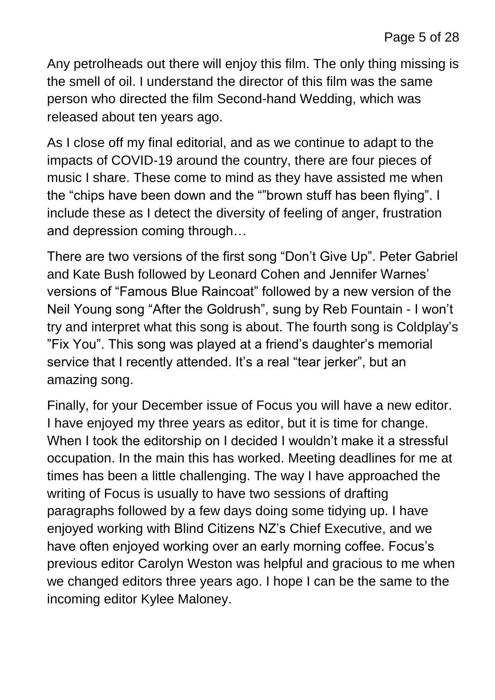Any petrolheads out there will enjoy this film. The only thing missing is the smell of oil. I understand the director of this film was the same person who directed the film Second-hand Wedding, which was released about ten years ago.

As I close off my final editorial, and as we continue to adapt to the impacts of COVID-19 around the country, there are four pieces of music I share. These come to mind as they have assisted me when the "chips have been down and the ""brown stuff has been flying". I include these as I detect the diversity of feeling of anger, frustration and depression coming through…

There are two versions of the first song "Don't Give Up". Peter Gabriel and Kate Bush followed by Leonard Cohen and Jennifer Warnes' versions of "Famous Blue Raincoat" followed by a new version of the Neil Young song "After the Goldrush", sung by Reb Fountain - I won't try and interpret what this song is about. The fourth song is Coldplay's "Fix You". This song was played at a friend's daughter's memorial service that I recently attended. It's a real "tear jerker", but an amazing song.

Finally, for your December issue of Focus you will have a new editor. I have enjoyed my three years as editor, but it is time for change. When I took the editorship on I decided I wouldn't make it a stressful occupation. In the main this has worked. Meeting deadlines for me at times has been a little challenging. The way I have approached the writing of Focus is usually to have two sessions of drafting paragraphs followed by a few days doing some tidying up. I have enjoyed working with Blind Citizens NZ's Chief Executive, and we have often enjoyed working over an early morning coffee. Focus's previous editor Carolyn Weston was helpful and gracious to me when we changed editors three years ago. I hope I can be the same to the incoming editor Kylee Maloney.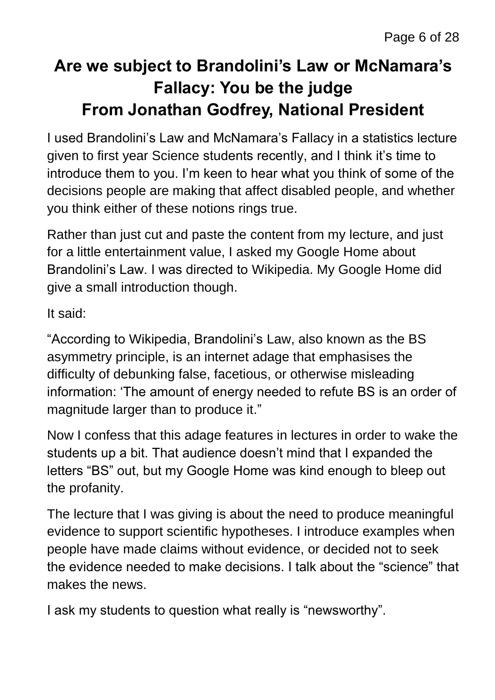# **Are we subject to Brandolini's Law or McNamara's Fallacy: You be the judge From Jonathan Godfrey, National President**

I used Brandolini's Law and McNamara's Fallacy in a statistics lecture given to first year Science students recently, and I think it's time to introduce them to you. I'm keen to hear what you think of some of the decisions people are making that affect disabled people, and whether you think either of these notions rings true.

Rather than just cut and paste the content from my lecture, and just for a little entertainment value, I asked my Google Home about Brandolini's Law. I was directed to Wikipedia. My Google Home did give a small introduction though.

It said:

"According to Wikipedia, Brandolini's Law, also known as the BS asymmetry principle, is an internet adage that emphasises the difficulty of debunking false, facetious, or otherwise misleading information: 'The amount of energy needed to refute BS is an order of magnitude larger than to produce it."

Now I confess that this adage features in lectures in order to wake the students up a bit. That audience doesn't mind that I expanded the letters "BS" out, but my Google Home was kind enough to bleep out the profanity.

The lecture that I was giving is about the need to produce meaningful evidence to support scientific hypotheses. I introduce examples when people have made claims without evidence, or decided not to seek the evidence needed to make decisions. I talk about the "science" that makes the news.

I ask my students to question what really is "newsworthy".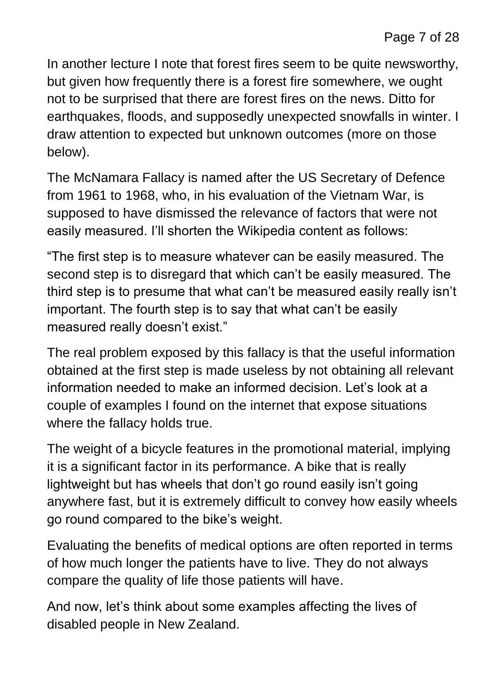In another lecture I note that forest fires seem to be quite newsworthy, but given how frequently there is a forest fire somewhere, we ought not to be surprised that there are forest fires on the news. Ditto for earthquakes, floods, and supposedly unexpected snowfalls in winter. I draw attention to expected but unknown outcomes (more on those below).

The McNamara Fallacy is named after the US Secretary of Defence from 1961 to 1968, who, in his evaluation of the Vietnam War, is supposed to have dismissed the relevance of factors that were not easily measured. I'll shorten the Wikipedia content as follows:

"The first step is to measure whatever can be easily measured. The second step is to disregard that which can't be easily measured. The third step is to presume that what can't be measured easily really isn't important. The fourth step is to say that what can't be easily measured really doesn't exist."

The real problem exposed by this fallacy is that the useful information obtained at the first step is made useless by not obtaining all relevant information needed to make an informed decision. Let's look at a couple of examples I found on the internet that expose situations where the fallacy holds true.

The weight of a bicycle features in the promotional material, implying it is a significant factor in its performance. A bike that is really lightweight but has wheels that don't go round easily isn't going anywhere fast, but it is extremely difficult to convey how easily wheels go round compared to the bike's weight.

Evaluating the benefits of medical options are often reported in terms of how much longer the patients have to live. They do not always compare the quality of life those patients will have.

And now, let's think about some examples affecting the lives of disabled people in New Zealand.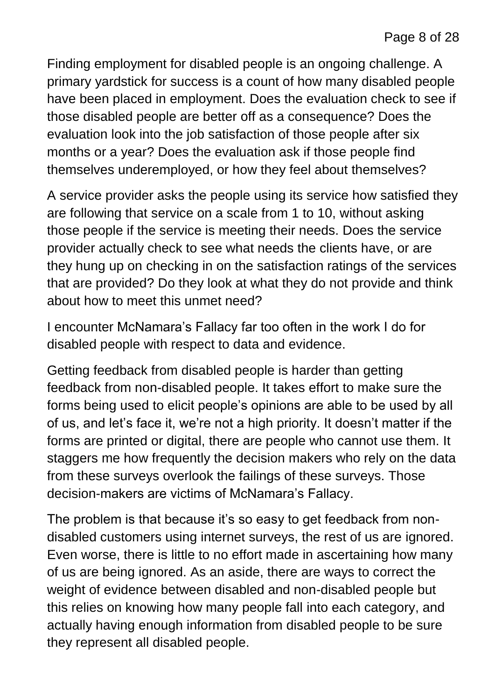Finding employment for disabled people is an ongoing challenge. A primary yardstick for success is a count of how many disabled people have been placed in employment. Does the evaluation check to see if those disabled people are better off as a consequence? Does the evaluation look into the job satisfaction of those people after six months or a year? Does the evaluation ask if those people find themselves underemployed, or how they feel about themselves?

A service provider asks the people using its service how satisfied they are following that service on a scale from 1 to 10, without asking those people if the service is meeting their needs. Does the service provider actually check to see what needs the clients have, or are they hung up on checking in on the satisfaction ratings of the services that are provided? Do they look at what they do not provide and think about how to meet this unmet need?

I encounter McNamara's Fallacy far too often in the work I do for disabled people with respect to data and evidence.

Getting feedback from disabled people is harder than getting feedback from non-disabled people. It takes effort to make sure the forms being used to elicit people's opinions are able to be used by all of us, and let's face it, we're not a high priority. It doesn't matter if the forms are printed or digital, there are people who cannot use them. It staggers me how frequently the decision makers who rely on the data from these surveys overlook the failings of these surveys. Those decision-makers are victims of McNamara's Fallacy.

The problem is that because it's so easy to get feedback from nondisabled customers using internet surveys, the rest of us are ignored. Even worse, there is little to no effort made in ascertaining how many of us are being ignored. As an aside, there are ways to correct the weight of evidence between disabled and non-disabled people but this relies on knowing how many people fall into each category, and actually having enough information from disabled people to be sure they represent all disabled people.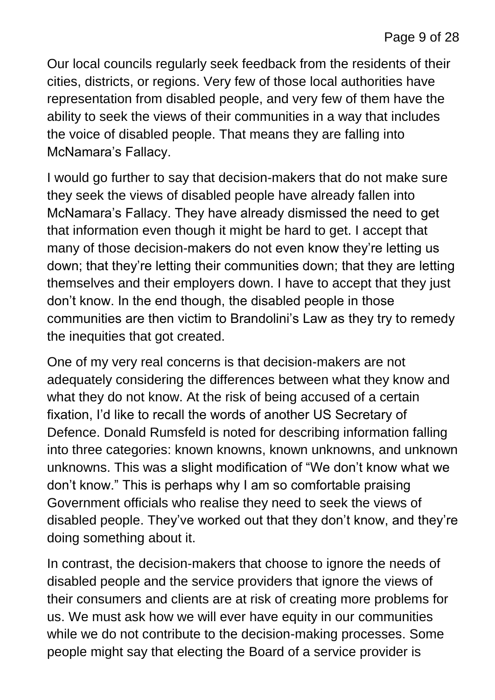Our local councils regularly seek feedback from the residents of their cities, districts, or regions. Very few of those local authorities have representation from disabled people, and very few of them have the ability to seek the views of their communities in a way that includes the voice of disabled people. That means they are falling into McNamara's Fallacy.

I would go further to say that decision-makers that do not make sure they seek the views of disabled people have already fallen into McNamara's Fallacy. They have already dismissed the need to get that information even though it might be hard to get. I accept that many of those decision-makers do not even know they're letting us down; that they're letting their communities down; that they are letting themselves and their employers down. I have to accept that they just don't know. In the end though, the disabled people in those communities are then victim to Brandolini's Law as they try to remedy the inequities that got created.

One of my very real concerns is that decision-makers are not adequately considering the differences between what they know and what they do not know. At the risk of being accused of a certain fixation, I'd like to recall the words of another US Secretary of Defence. Donald Rumsfeld is noted for describing information falling into three categories: known knowns, known unknowns, and unknown unknowns. This was a slight modification of "We don't know what we don't know." This is perhaps why I am so comfortable praising Government officials who realise they need to seek the views of disabled people. They've worked out that they don't know, and they're doing something about it.

In contrast, the decision-makers that choose to ignore the needs of disabled people and the service providers that ignore the views of their consumers and clients are at risk of creating more problems for us. We must ask how we will ever have equity in our communities while we do not contribute to the decision-making processes. Some people might say that electing the Board of a service provider is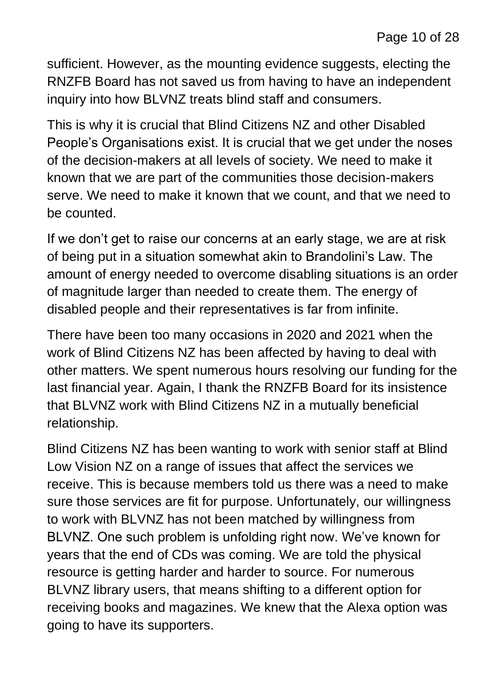sufficient. However, as the mounting evidence suggests, electing the RNZFB Board has not saved us from having to have an independent inquiry into how BLVNZ treats blind staff and consumers.

This is why it is crucial that Blind Citizens NZ and other Disabled People's Organisations exist. It is crucial that we get under the noses of the decision-makers at all levels of society. We need to make it known that we are part of the communities those decision-makers serve. We need to make it known that we count, and that we need to be counted.

If we don't get to raise our concerns at an early stage, we are at risk of being put in a situation somewhat akin to Brandolini's Law. The amount of energy needed to overcome disabling situations is an order of magnitude larger than needed to create them. The energy of disabled people and their representatives is far from infinite.

There have been too many occasions in 2020 and 2021 when the work of Blind Citizens NZ has been affected by having to deal with other matters. We spent numerous hours resolving our funding for the last financial year. Again, I thank the RNZFB Board for its insistence that BLVNZ work with Blind Citizens NZ in a mutually beneficial relationship.

Blind Citizens NZ has been wanting to work with senior staff at Blind Low Vision NZ on a range of issues that affect the services we receive. This is because members told us there was a need to make sure those services are fit for purpose. Unfortunately, our willingness to work with BLVNZ has not been matched by willingness from BLVNZ. One such problem is unfolding right now. We've known for years that the end of CDs was coming. We are told the physical resource is getting harder and harder to source. For numerous BLVNZ library users, that means shifting to a different option for receiving books and magazines. We knew that the Alexa option was going to have its supporters.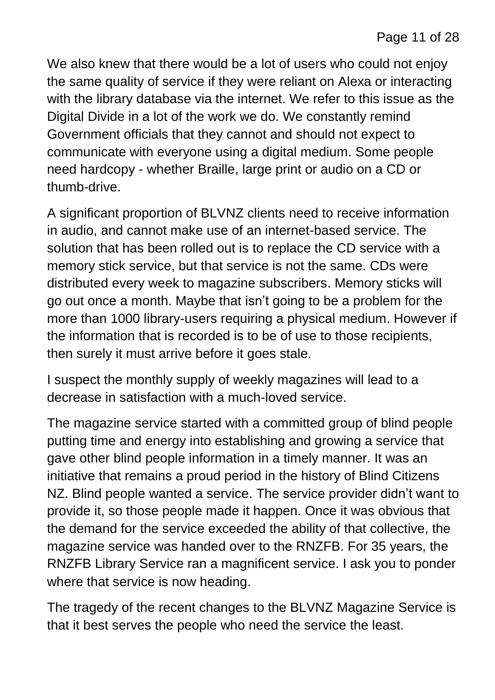We also knew that there would be a lot of users who could not enjoy the same quality of service if they were reliant on Alexa or interacting with the library database via the internet. We refer to this issue as the Digital Divide in a lot of the work we do. We constantly remind Government officials that they cannot and should not expect to communicate with everyone using a digital medium. Some people need hardcopy - whether Braille, large print or audio on a CD or thumb-drive.

A significant proportion of BLVNZ clients need to receive information in audio, and cannot make use of an internet-based service. The solution that has been rolled out is to replace the CD service with a memory stick service, but that service is not the same. CDs were distributed every week to magazine subscribers. Memory sticks will go out once a month. Maybe that isn't going to be a problem for the more than 1000 library-users requiring a physical medium. However if the information that is recorded is to be of use to those recipients, then surely it must arrive before it goes stale.

I suspect the monthly supply of weekly magazines will lead to a decrease in satisfaction with a much-loved service.

The magazine service started with a committed group of blind people putting time and energy into establishing and growing a service that gave other blind people information in a timely manner. It was an initiative that remains a proud period in the history of Blind Citizens NZ. Blind people wanted a service. The service provider didn't want to provide it, so those people made it happen. Once it was obvious that the demand for the service exceeded the ability of that collective, the magazine service was handed over to the RNZFB. For 35 years, the RNZFB Library Service ran a magnificent service. I ask you to ponder where that service is now heading.

The tragedy of the recent changes to the BLVNZ Magazine Service is that it best serves the people who need the service the least.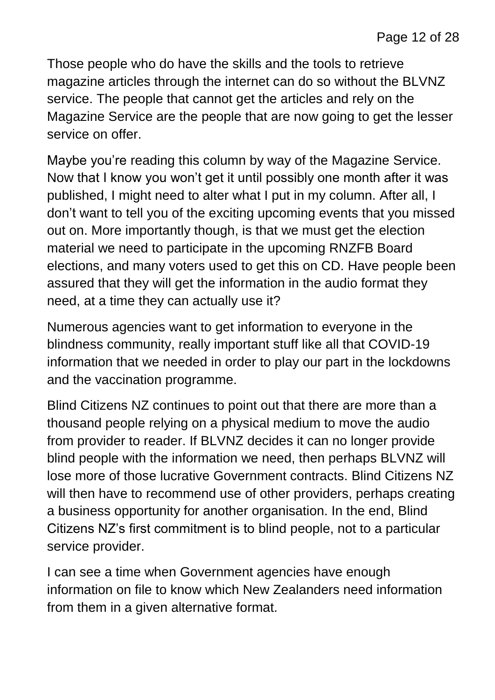Those people who do have the skills and the tools to retrieve magazine articles through the internet can do so without the BLVNZ service. The people that cannot get the articles and rely on the Magazine Service are the people that are now going to get the lesser service on offer.

Maybe you're reading this column by way of the Magazine Service. Now that I know you won't get it until possibly one month after it was published, I might need to alter what I put in my column. After all, I don't want to tell you of the exciting upcoming events that you missed out on. More importantly though, is that we must get the election material we need to participate in the upcoming RNZFB Board elections, and many voters used to get this on CD. Have people been assured that they will get the information in the audio format they need, at a time they can actually use it?

Numerous agencies want to get information to everyone in the blindness community, really important stuff like all that COVID-19 information that we needed in order to play our part in the lockdowns and the vaccination programme.

Blind Citizens NZ continues to point out that there are more than a thousand people relying on a physical medium to move the audio from provider to reader. If BLVNZ decides it can no longer provide blind people with the information we need, then perhaps BLVNZ will lose more of those lucrative Government contracts. Blind Citizens NZ will then have to recommend use of other providers, perhaps creating a business opportunity for another organisation. In the end, Blind Citizens NZ's first commitment is to blind people, not to a particular service provider.

I can see a time when Government agencies have enough information on file to know which New Zealanders need information from them in a given alternative format.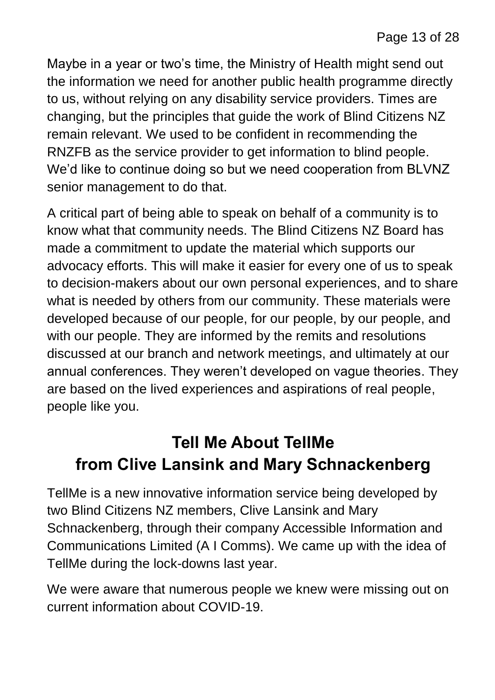Maybe in a year or two's time, the Ministry of Health might send out the information we need for another public health programme directly to us, without relying on any disability service providers. Times are changing, but the principles that guide the work of Blind Citizens NZ remain relevant. We used to be confident in recommending the RNZFB as the service provider to get information to blind people. We'd like to continue doing so but we need cooperation from BLVNZ senior management to do that.

A critical part of being able to speak on behalf of a community is to know what that community needs. The Blind Citizens NZ Board has made a commitment to update the material which supports our advocacy efforts. This will make it easier for every one of us to speak to decision-makers about our own personal experiences, and to share what is needed by others from our community. These materials were developed because of our people, for our people, by our people, and with our people. They are informed by the remits and resolutions discussed at our branch and network meetings, and ultimately at our annual conferences. They weren't developed on vague theories. They are based on the lived experiences and aspirations of real people, people like you.

#### **Tell Me About TellMe from Clive Lansink and Mary Schnackenberg**

TellMe is a new innovative information service being developed by two Blind Citizens NZ members, Clive Lansink and Mary Schnackenberg, through their company Accessible Information and Communications Limited (A I Comms). We came up with the idea of TellMe during the lock-downs last year.

We were aware that numerous people we knew were missing out on current information about COVID-19.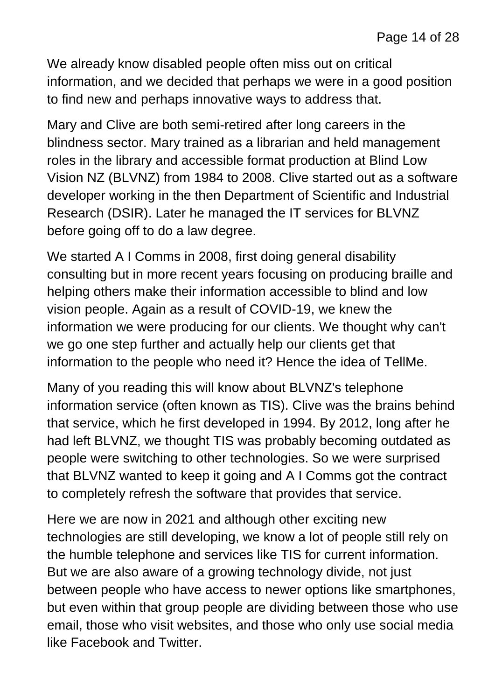We already know disabled people often miss out on critical information, and we decided that perhaps we were in a good position to find new and perhaps innovative ways to address that.

Mary and Clive are both semi-retired after long careers in the blindness sector. Mary trained as a librarian and held management roles in the library and accessible format production at Blind Low Vision NZ (BLVNZ) from 1984 to 2008. Clive started out as a software developer working in the then Department of Scientific and Industrial Research (DSIR). Later he managed the IT services for BLVNZ before going off to do a law degree.

We started A I Comms in 2008, first doing general disability consulting but in more recent years focusing on producing braille and helping others make their information accessible to blind and low vision people. Again as a result of COVID-19, we knew the information we were producing for our clients. We thought why can't we go one step further and actually help our clients get that information to the people who need it? Hence the idea of TellMe.

Many of you reading this will know about BLVNZ's telephone information service (often known as TIS). Clive was the brains behind that service, which he first developed in 1994. By 2012, long after he had left BLVNZ, we thought TIS was probably becoming outdated as people were switching to other technologies. So we were surprised that BLVNZ wanted to keep it going and A I Comms got the contract to completely refresh the software that provides that service.

Here we are now in 2021 and although other exciting new technologies are still developing, we know a lot of people still rely on the humble telephone and services like TIS for current information. But we are also aware of a growing technology divide, not just between people who have access to newer options like smartphones, but even within that group people are dividing between those who use email, those who visit websites, and those who only use social media like Facebook and Twitter.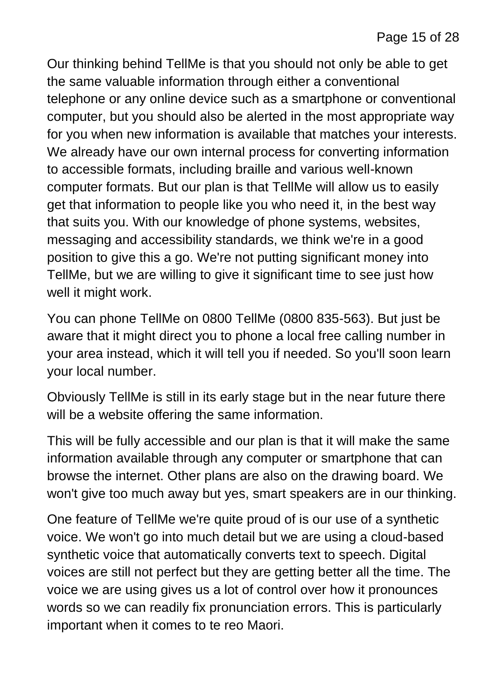Our thinking behind TellMe is that you should not only be able to get the same valuable information through either a conventional telephone or any online device such as a smartphone or conventional computer, but you should also be alerted in the most appropriate way for you when new information is available that matches your interests. We already have our own internal process for converting information to accessible formats, including braille and various well-known computer formats. But our plan is that TellMe will allow us to easily get that information to people like you who need it, in the best way that suits you. With our knowledge of phone systems, websites, messaging and accessibility standards, we think we're in a good position to give this a go. We're not putting significant money into TellMe, but we are willing to give it significant time to see just how well it might work.

You can phone TellMe on 0800 TellMe (0800 835-563). But just be aware that it might direct you to phone a local free calling number in your area instead, which it will tell you if needed. So you'll soon learn your local number.

Obviously TellMe is still in its early stage but in the near future there will be a website offering the same information.

This will be fully accessible and our plan is that it will make the same information available through any computer or smartphone that can browse the internet. Other plans are also on the drawing board. We won't give too much away but yes, smart speakers are in our thinking.

One feature of TellMe we're quite proud of is our use of a synthetic voice. We won't go into much detail but we are using a cloud-based synthetic voice that automatically converts text to speech. Digital voices are still not perfect but they are getting better all the time. The voice we are using gives us a lot of control over how it pronounces words so we can readily fix pronunciation errors. This is particularly important when it comes to te reo Maori.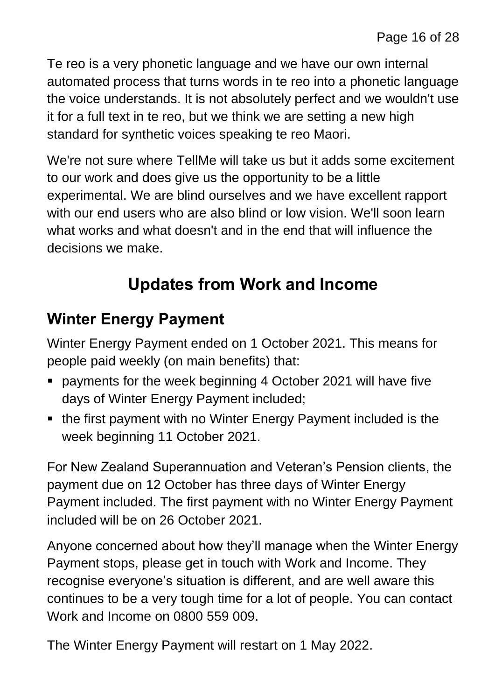Te reo is a very phonetic language and we have our own internal automated process that turns words in te reo into a phonetic language the voice understands. It is not absolutely perfect and we wouldn't use it for a full text in te reo, but we think we are setting a new high standard for synthetic voices speaking te reo Maori.

We're not sure where TellMe will take us but it adds some excitement to our work and does give us the opportunity to be a little experimental. We are blind ourselves and we have excellent rapport with our end users who are also blind or low vision. We'll soon learn what works and what doesn't and in the end that will influence the decisions we make.

#### **Updates from Work and Income**

#### **Winter Energy Payment**

Winter Energy Payment ended on 1 October 2021. This means for people paid weekly (on main benefits) that:

- payments for the week beginning 4 October 2021 will have five days of Winter Energy Payment included;
- the first payment with no Winter Energy Payment included is the week beginning 11 October 2021.

For New Zealand Superannuation and Veteran's Pension clients, the payment due on 12 October has three days of Winter Energy Payment included. The first payment with no Winter Energy Payment included will be on 26 October 2021.

Anyone concerned about how they'll manage when the Winter Energy Payment stops, please get in touch with Work and Income. They recognise everyone's situation is different, and are well aware this continues to be a very tough time for a lot of people. You can contact Work and Income on 0800 559 009.

The Winter Energy Payment will restart on 1 May 2022.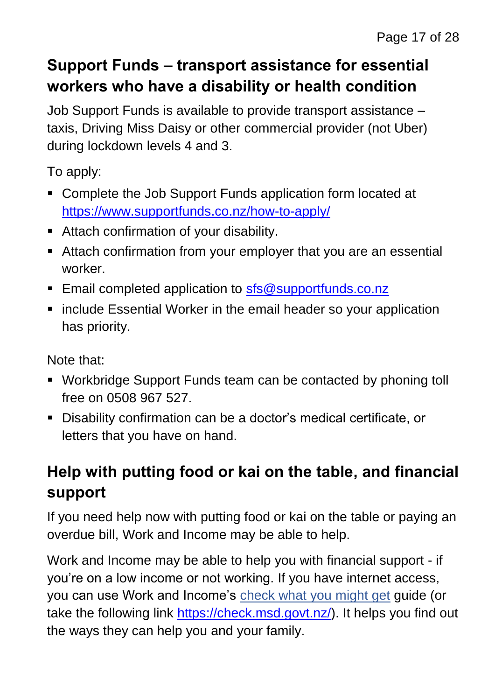#### **Support Funds – transport assistance for essential workers who have a disability or health condition**

Job Support Funds is available to provide transport assistance – taxis, Driving Miss Daisy or other commercial provider (not Uber) during lockdown levels 4 and 3.

To apply:

- Complete the Job Support Funds application form located at <https://www.supportfunds.co.nz/how-to-apply/>
- Attach confirmation of your disability.
- **E** Attach confirmation from your employer that you are an essential worker.
- Email completed application to [sfs@supportfunds.co.nz](mailto:sfs@supportfunds.co.nz)
- include Essential Worker in the email header so your application has priority.

Note that:

- Workbridge Support Funds team can be contacted by phoning toll free on 0508 967 527.
- Disability confirmation can be a doctor's medical certificate, or letters that you have on hand.

# **Help with putting food or kai on the table, and financial support**

If you need help now with putting food or kai on the table or paying an overdue bill, Work and Income may be able to help.

Work and Income may be able to help you with financial support - if you're on a low income or not working. If you have internet access, you can use Work and Income's [check what you might get](https://check.msd.govt.nz/) guide (or take the following link [https://check.msd.govt.nz/\)](https://check.msd.govt.nz/). It helps you find out the ways they can help you and your family.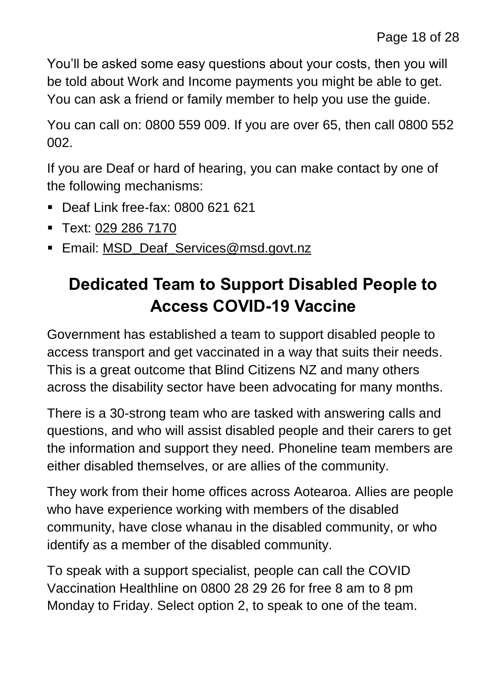You'll be asked some easy questions about your costs, then you will be told about Work and Income payments you might be able to get. You can ask a friend or family member to help you use the guide.

You can call on: 0800 559 009. If you are over 65, then call 0800 552 002.

If you are Deaf or hard of hearing, you can make contact by one of the following mechanisms:

- Deaf Link free-fax: 0800 621 621
- Text: [029 286 7170](sms:0292867170)
- Email: MSD**\_**Deaf**\_**[Services@msd.govt.nz](mailto:MSD_Deaf_Services@msd.govt.nz)

# **Dedicated Team to Support Disabled People to Access COVID-19 Vaccine**

Government has established a team to support disabled people to access transport and get vaccinated in a way that suits their needs. This is a great outcome that Blind Citizens NZ and many others across the disability sector have been advocating for many months.

There is a 30-strong team who are tasked with answering calls and questions, and who will assist disabled people and their carers to get the information and support they need. Phoneline team members are either disabled themselves, or are allies of the community.

They work from their home offices across Aotearoa. Allies are people who have experience working with members of the disabled community, have close whanau in the disabled community, or who identify as a member of the disabled community.

To speak with a support specialist, people can call the COVID Vaccination Healthline on 0800 28 29 26 for free 8 am to 8 pm Monday to Friday. Select option 2, to speak to one of the team.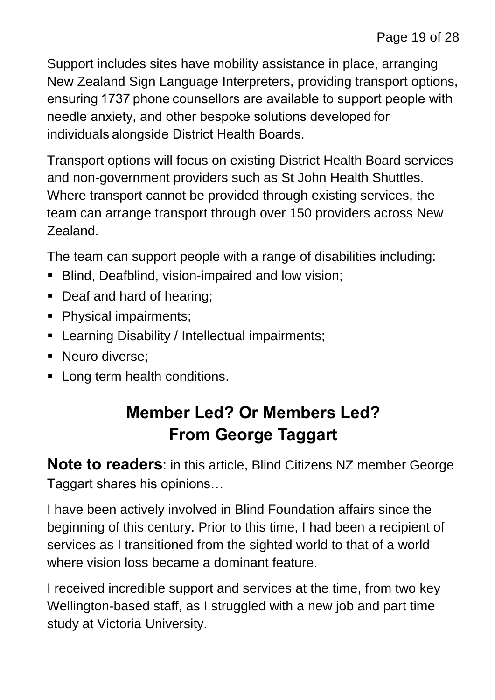Support includes sites have mobility assistance in place, arranging New Zealand Sign Language Interpreters, providing transport options, ensuring 1737 phone counsellors are available to support people with needle anxiety, and other bespoke solutions developed for individuals alongside District Health Boards.

Transport options will focus on existing District Health Board services and non-government providers such as St John Health Shuttles. Where transport cannot be provided through existing services, the team can arrange transport through over 150 providers across New Zealand.

The team can support people with a range of disabilities including:

- **E** Blind, Deafblind, vision-impaired and low vision;
- Deaf and hard of hearing;
- Physical impairments;
- Learning Disability / Intellectual impairments;
- Neuro diverse;
- Long term health conditions.

# **Member Led? Or Members Led? From George Taggart**

**Note to readers**: in this article, Blind Citizens NZ member George Taggart shares his opinions…

I have been actively involved in Blind Foundation affairs since the beginning of this century. Prior to this time, I had been a recipient of services as I transitioned from the sighted world to that of a world where vision loss became a dominant feature.

I received incredible support and services at the time, from two key Wellington-based staff, as I struggled with a new job and part time study at Victoria University.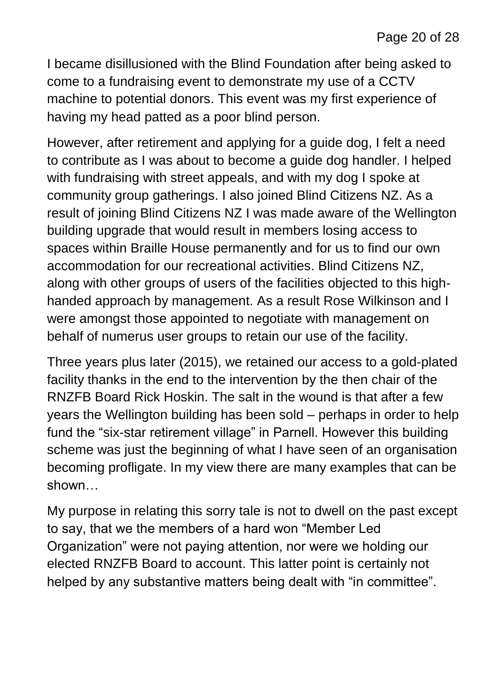I became disillusioned with the Blind Foundation after being asked to come to a fundraising event to demonstrate my use of a CCTV machine to potential donors. This event was my first experience of having my head patted as a poor blind person.

However, after retirement and applying for a guide dog, I felt a need to contribute as I was about to become a guide dog handler. I helped with fundraising with street appeals, and with my dog I spoke at community group gatherings. I also joined Blind Citizens NZ. As a result of joining Blind Citizens NZ I was made aware of the Wellington building upgrade that would result in members losing access to spaces within Braille House permanently and for us to find our own accommodation for our recreational activities. Blind Citizens NZ, along with other groups of users of the facilities objected to this highhanded approach by management. As a result Rose Wilkinson and I were amongst those appointed to negotiate with management on behalf of numerus user groups to retain our use of the facility.

Three years plus later (2015), we retained our access to a gold-plated facility thanks in the end to the intervention by the then chair of the RNZFB Board Rick Hoskin. The salt in the wound is that after a few years the Wellington building has been sold – perhaps in order to help fund the "six-star retirement village" in Parnell. However this building scheme was just the beginning of what I have seen of an organisation becoming profligate. In my view there are many examples that can be shown…

My purpose in relating this sorry tale is not to dwell on the past except to say, that we the members of a hard won "Member Led Organization" were not paying attention, nor were we holding our elected RNZFB Board to account. This latter point is certainly not helped by any substantive matters being dealt with "in committee".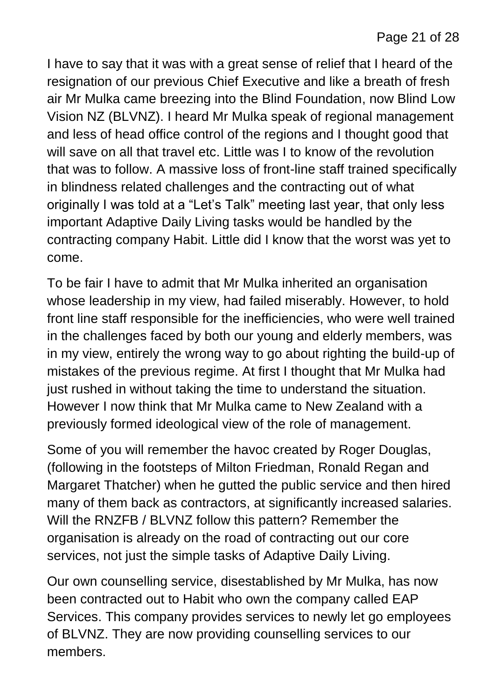I have to say that it was with a great sense of relief that I heard of the resignation of our previous Chief Executive and like a breath of fresh air Mr Mulka came breezing into the Blind Foundation, now Blind Low Vision NZ (BLVNZ). I heard Mr Mulka speak of regional management and less of head office control of the regions and I thought good that will save on all that travel etc. Little was I to know of the revolution that was to follow. A massive loss of front-line staff trained specifically in blindness related challenges and the contracting out of what originally I was told at a "Let's Talk" meeting last year, that only less important Adaptive Daily Living tasks would be handled by the contracting company Habit. Little did I know that the worst was yet to come.

To be fair I have to admit that Mr Mulka inherited an organisation whose leadership in my view, had failed miserably. However, to hold front line staff responsible for the inefficiencies, who were well trained in the challenges faced by both our young and elderly members, was in my view, entirely the wrong way to go about righting the build-up of mistakes of the previous regime. At first I thought that Mr Mulka had just rushed in without taking the time to understand the situation. However I now think that Mr Mulka came to New Zealand with a previously formed ideological view of the role of management.

Some of you will remember the havoc created by Roger Douglas, (following in the footsteps of Milton Friedman, Ronald Regan and Margaret Thatcher) when he gutted the public service and then hired many of them back as contractors, at significantly increased salaries. Will the RNZFB / BLVNZ follow this pattern? Remember the organisation is already on the road of contracting out our core services, not just the simple tasks of Adaptive Daily Living.

Our own counselling service, disestablished by Mr Mulka, has now been contracted out to Habit who own the company called EAP Services. This company provides services to newly let go employees of BLVNZ. They are now providing counselling services to our members.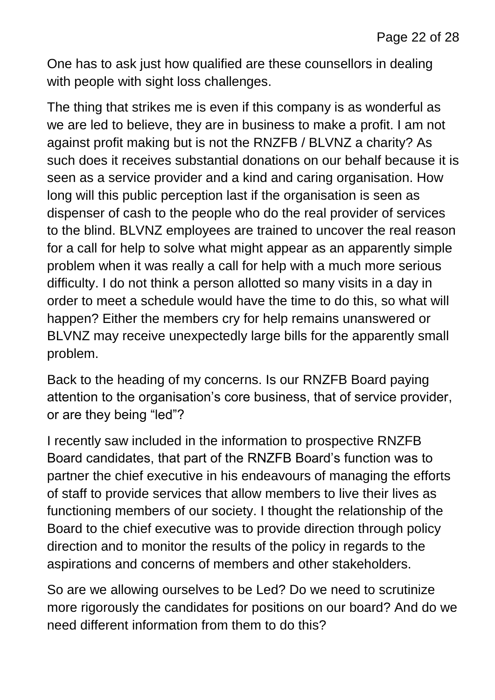One has to ask just how qualified are these counsellors in dealing with people with sight loss challenges.

The thing that strikes me is even if this company is as wonderful as we are led to believe, they are in business to make a profit. I am not against profit making but is not the RNZFB / BLVNZ a charity? As such does it receives substantial donations on our behalf because it is seen as a service provider and a kind and caring organisation. How long will this public perception last if the organisation is seen as dispenser of cash to the people who do the real provider of services to the blind. BLVNZ employees are trained to uncover the real reason for a call for help to solve what might appear as an apparently simple problem when it was really a call for help with a much more serious difficulty. I do not think a person allotted so many visits in a day in order to meet a schedule would have the time to do this, so what will happen? Either the members cry for help remains unanswered or BLVNZ may receive unexpectedly large bills for the apparently small problem.

Back to the heading of my concerns. Is our RNZFB Board paying attention to the organisation's core business, that of service provider, or are they being "led"?

I recently saw included in the information to prospective RNZFB Board candidates, that part of the RNZFB Board's function was to partner the chief executive in his endeavours of managing the efforts of staff to provide services that allow members to live their lives as functioning members of our society. I thought the relationship of the Board to the chief executive was to provide direction through policy direction and to monitor the results of the policy in regards to the aspirations and concerns of members and other stakeholders.

So are we allowing ourselves to be Led? Do we need to scrutinize more rigorously the candidates for positions on our board? And do we need different information from them to do this?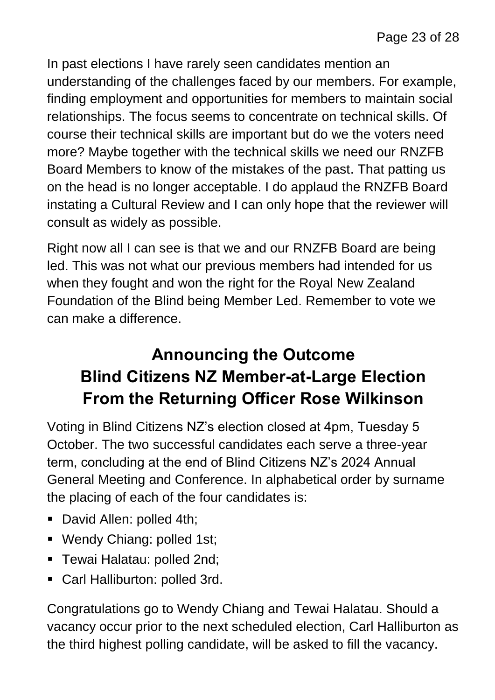In past elections I have rarely seen candidates mention an understanding of the challenges faced by our members. For example, finding employment and opportunities for members to maintain social relationships. The focus seems to concentrate on technical skills. Of course their technical skills are important but do we the voters need more? Maybe together with the technical skills we need our RNZFB Board Members to know of the mistakes of the past. That patting us on the head is no longer acceptable. I do applaud the RNZFB Board instating a Cultural Review and I can only hope that the reviewer will consult as widely as possible.

Right now all I can see is that we and our RNZFB Board are being led. This was not what our previous members had intended for us when they fought and won the right for the Royal New Zealand Foundation of the Blind being Member Led. Remember to vote we can make a difference.

# **Announcing the Outcome Blind Citizens NZ Member-at-Large Election From the Returning Officer Rose Wilkinson**

Voting in Blind Citizens NZ's election closed at 4pm, Tuesday 5 October. The two successful candidates each serve a three-year term, concluding at the end of Blind Citizens NZ's 2024 Annual General Meeting and Conference. In alphabetical order by surname the placing of each of the four candidates is:

- David Allen: polled 4th;
- Wendy Chiang: polled 1st;
- Tewai Halatau: polled 2nd;
- Carl Halliburton: polled 3rd.

Congratulations go to Wendy Chiang and Tewai Halatau. Should a vacancy occur prior to the next scheduled election, Carl Halliburton as the third highest polling candidate, will be asked to fill the vacancy.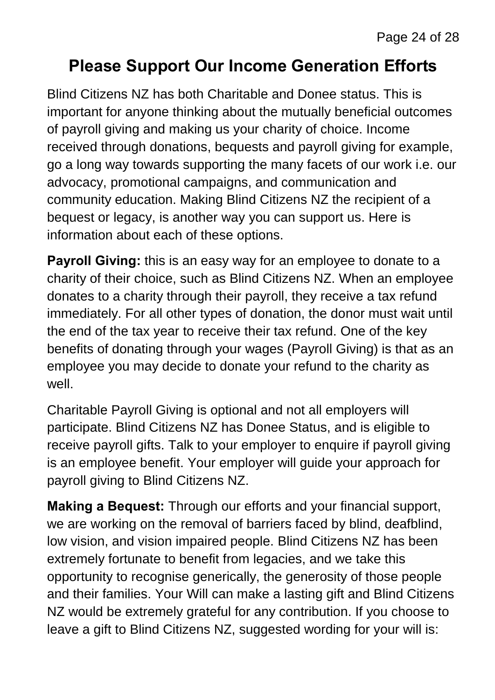#### **Please Support Our Income Generation Efforts**

Blind Citizens NZ has both Charitable and Donee status. This is important for anyone thinking about the mutually beneficial outcomes of payroll giving and making us your charity of choice. Income received through donations, bequests and payroll giving for example, go a long way towards supporting the many facets of our work i.e. our advocacy, promotional campaigns, and communication and community education. Making Blind Citizens NZ the recipient of a bequest or legacy, is another way you can support us. Here is information about each of these options.

**Payroll Giving:** this is an easy way for an employee to donate to a charity of their choice, such as Blind Citizens NZ. When an employee donates to a charity through their payroll, they receive a tax refund immediately. For all other types of donation, the donor must wait until the end of the tax year to receive their tax refund. One of the key benefits of donating through your wages (Payroll Giving) is that as an employee you may decide to donate your refund to the charity as well.

Charitable Payroll Giving is optional and not all employers will participate. Blind Citizens NZ has Donee Status, and is eligible to receive payroll gifts. Talk to your employer to enquire if payroll giving is an employee benefit. Your employer will guide your approach for payroll giving to Blind Citizens NZ.

**Making a Bequest:** Through our efforts and your financial support, we are working on the removal of barriers faced by blind, deafblind, low vision, and vision impaired people. Blind Citizens NZ has been extremely fortunate to benefit from legacies, and we take this opportunity to recognise generically, the generosity of those people and their families. Your Will can make a lasting gift and Blind Citizens NZ would be extremely grateful for any contribution. If you choose to leave a gift to Blind Citizens NZ, suggested wording for your will is: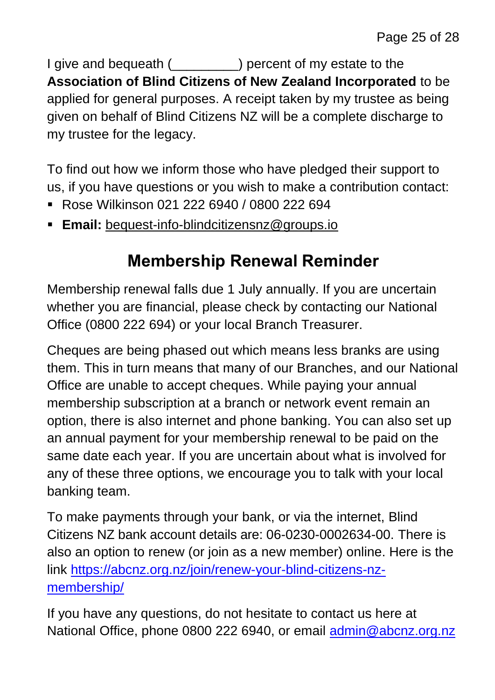I give and bequeath (\_\_\_\_\_\_\_\_\_) percent of my estate to the **Association of Blind Citizens of New Zealand Incorporated** to be applied for general purposes. A receipt taken by my trustee as being given on behalf of Blind Citizens NZ will be a complete discharge to my trustee for the legacy.

To find out how we inform those who have pledged their support to us, if you have questions or you wish to make a contribution contact:

- Rose Wilkinson 021 222 6940 / 0800 222 694
- **Email:** [bequest-info-blindcitizensnz@groups.io](mailto:bequest-info-blindcitizensnz@groups.io)

#### **Membership Renewal Reminder**

Membership renewal falls due 1 July annually. If you are uncertain whether you are financial, please check by contacting our National Office (0800 222 694) or your local Branch Treasurer.

Cheques are being phased out which means less branks are using them. This in turn means that many of our Branches, and our National Office are unable to accept cheques. While paying your annual membership subscription at a branch or network event remain an option, there is also internet and phone banking. You can also set up an annual payment for your membership renewal to be paid on the same date each year. If you are uncertain about what is involved for any of these three options, we encourage you to talk with your local banking team.

To make payments through your bank, or via the internet, Blind Citizens NZ bank account details are: 06-0230-0002634-00. There is also an option to renew (or join as a new member) online. Here is the link [https://abcnz.org.nz/join/renew-your-blind-citizens-nz](https://abcnz.org.nz/join/renew-your-blind-citizens-nz-membership/)[membership/](https://abcnz.org.nz/join/renew-your-blind-citizens-nz-membership/)

If you have any questions, do not hesitate to contact us here at National Office, phone 0800 222 6940, or email [admin@abcnz.org.nz](mailto:admin@abcnz.org.nz)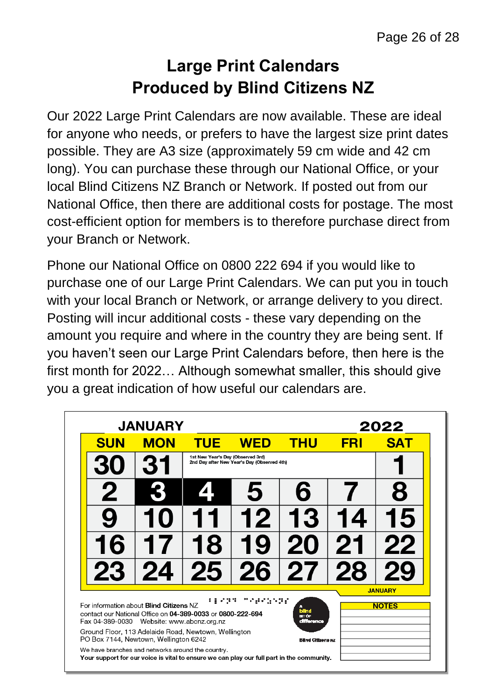#### **Large Print Calendars Produced by Blind Citizens NZ**

Our 2022 Large Print Calendars are now available. These are ideal for anyone who needs, or prefers to have the largest size print dates possible. They are A3 size (approximately 59 cm wide and 42 cm long). You can purchase these through our National Office, or your local Blind Citizens NZ Branch or Network. If posted out from our National Office, then there are additional costs for postage. The most cost-efficient option for members is to therefore purchase direct from your Branch or Network.

Phone our National Office on 0800 222 694 if you would like to purchase one of our Large Print Calendars. We can put you in touch with your local Branch or Network, or arrange delivery to you direct. Posting will incur additional costs - these vary depending on the amount you require and where in the country they are being sent. If you haven't seen our Large Print Calendars before, then here is the first month for 2022… Although somewhat smaller, this should give you a great indication of how useful our calendars are.

| <b>JANUARY</b>                                                                                                                                            | 2022                                                                                   |                                                   |            |                               |            |                                |
|-----------------------------------------------------------------------------------------------------------------------------------------------------------|----------------------------------------------------------------------------------------|---------------------------------------------------|------------|-------------------------------|------------|--------------------------------|
| <b>SUN</b>                                                                                                                                                | <b>MON</b>                                                                             | <b>TUE</b>                                        | <b>WED</b> | <b>THU</b>                    | <b>FRI</b> | <b>SAT</b>                     |
|                                                                                                                                                           | 1st New Year's Day (Observed 3rd)<br>31<br>2nd Day after New Year's Day (Observed 4th) |                                                   |            |                               |            |                                |
| 2                                                                                                                                                         |                                                                                        | $\sqrt{2}$                                        |            | 6                             |            | 8                              |
|                                                                                                                                                           |                                                                                        |                                                   | 12         | 13                            | 14         | 15                             |
| 16                                                                                                                                                        |                                                                                        | 18                                                | Ig         | 20                            | 21         | 22                             |
| 23                                                                                                                                                        | 24                                                                                     | 25                                                | 26         | 27                            | 28         |                                |
| For information about <b>Blind Citizens NZ</b><br>contact our National Office on 04-389-0033 or 0800-222-694<br>Fax 04-389-0030 Website: www.abcnz.org.nz |                                                                                        |                                                   |            | blind<br>arr de<br>difference |            | <b>JANUARY</b><br><b>NOTES</b> |
| Ground Floor, 113 Adelaide Road, Newtown, Wellington<br>PO Box 7144, Newtown, Wellington 6242                                                             |                                                                                        |                                                   |            | <b>Billing Citizens NZ</b>    |            |                                |
|                                                                                                                                                           |                                                                                        | We have branches and networks around the country. |            |                               |            |                                |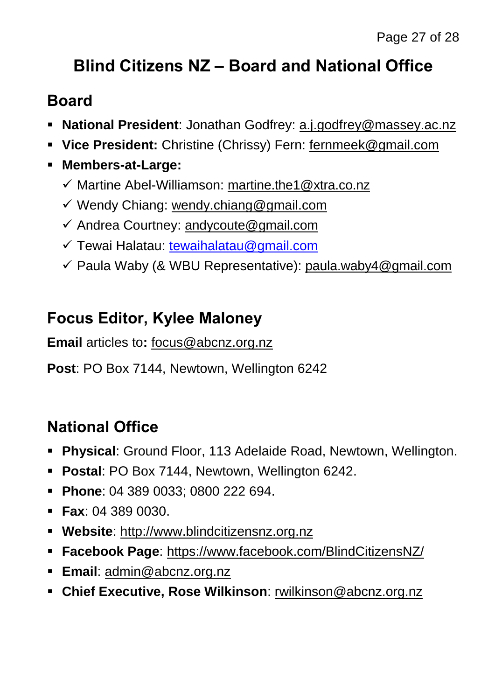# **Blind Citizens NZ – Board and National Office**

#### **Board**

- **National President**: Jonathan Godfrey: [a.j.godfrey@massey.ac.nz](mailto:a.j.godfrey@massey.ac.nz)
- **Vice President:** Christine (Chrissy) Fern: [fernmeek@gmail.com](mailto:fernmeek@gmail.com)
- **Members-at-Large:**
	- ✓ Martine Abel-Williamson: [martine.the1@xtra.co.nz](mailto:martine.the1@xtra.co.nz)
	- ✓ Wendy Chiang: [wendy.chiang@gmail.com](mailto:wendy.chiang@gmail.com)
	- $\checkmark$  Andrea Courtney: [andycoute@gmail.com](mailto:andycoute@gmail.com)
	- ✓ Tewai Halatau: [tewaihalatau@gmail.com](mailto:tewaihalatau@gmail.com)
	- ✓ Paula Waby (& WBU Representative): [paula.waby4@gmail.com](mailto:paula.waby4@gmail.com)

#### **Focus Editor, Kylee Maloney**

**Email** articles to**:** [focus@abcnz.org.nz](mailto:focus@abcnz.org.nz)

**Post**: PO Box 7144, Newtown, Wellington 6242

#### **National Office**

- **Physical**: Ground Floor, 113 Adelaide Road, Newtown, Wellington.
- **Postal**: PO Box 7144, Newtown, Wellington 6242.
- **Phone**: 04 389 0033; 0800 222 694.
- **Fax**: 04 389 0030.
- **Website**: [http://www.blindcitizensnz.org.nz](http://www.blindcitizensnz.org.nz/)
- **Facebook Page**:<https://www.facebook.com/BlindCitizensNZ/>
- **Email**: [admin@abcnz.org.nz](mailto:admin@abcnz.org.nz)
- **Chief Executive, Rose Wilkinson**: [rwilkinson@abcnz.org.nz](mailto:rwilkinson@abcnz.org.nz)